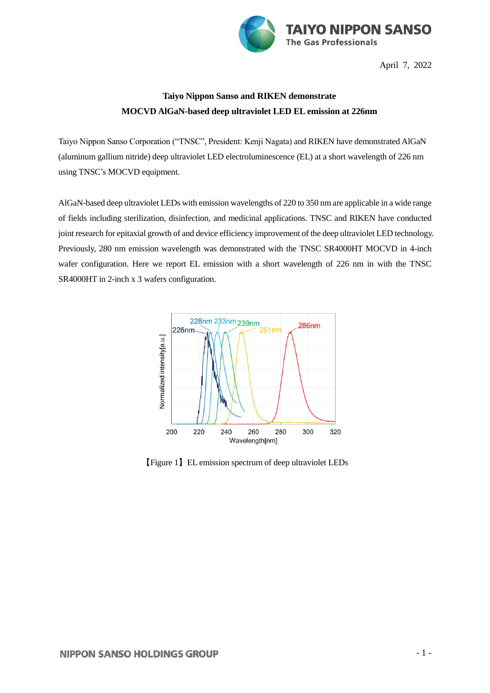

April 7, 2022

## **Taiyo Nippon Sanso and RIKEN demonstrate MOCVD AlGaN-based deep ultraviolet LED EL emission at 226nm**

Taiyo Nippon Sanso Corporation ("TNSC", President: Kenji Nagata) and RIKEN have demonstrated AlGaN (aluminum gallium nitride) deep ultraviolet LED electroluminescence (EL) at a short wavelength of 226 nm using TNSC's MOCVD equipment.

AlGaN-based deep ultraviolet LEDs with emission wavelengths of 220 to 350 nm are applicable in a wide range of fields including sterilization, disinfection, and medicinal applications. TNSC and RIKEN have conducted joint research for epitaxial growth of and device efficiency improvement of the deep ultraviolet LED technology. Previously, 280 nm emission wavelength was demonstrated with the TNSC SR4000HT MOCVD in 4-inch wafer configuration. Here we report EL emission with a short wavelength of 226 nm in with the TNSC SR4000HT in 2-inch x 3 wafers configuration.



【Figure 1】EL emission spectrum of deep ultraviolet LEDs